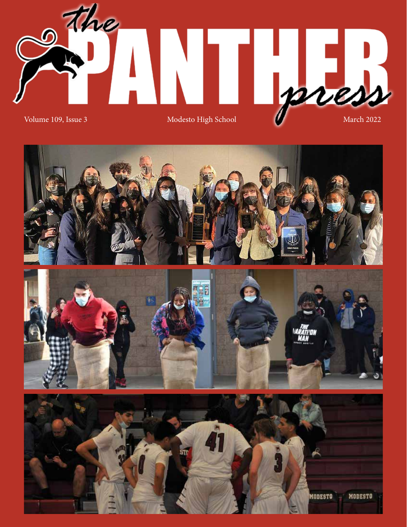

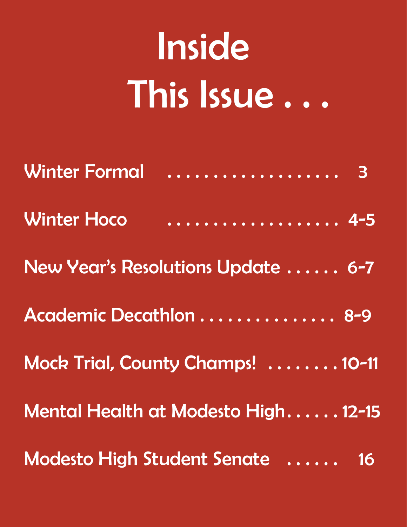# Inside This Issue . . .

| <b>Winter Formal</b> | . 3                                 |
|----------------------|-------------------------------------|
| <b>Winter Hoco</b>   | . 4-5                               |
|                      | New Year's Resolutions Update  6-7  |
|                      | Academic Decathlon  8-9             |
|                      | Mock Trial, County Champs!  10-11   |
|                      | Mental Health at Modesto High 12-15 |
|                      | Modesto High Student Senate  16     |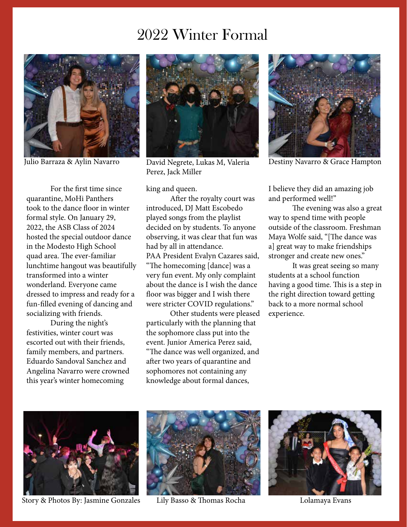#### 2022 Winter Formal



For the first time since quarantine, MoHi Panthers took to the dance floor in winter formal style. On January 29, 2022, the ASB Class of 2024 hosted the special outdoor dance in the Modesto High School quad area. The ever-familiar lunchtime hangout was beautifully transformed into a winter wonderland. Everyone came dressed to impress and ready for a fun-filled evening of dancing and socializing with friends.

During the night's festivities, winter court was escorted out with their friends, family members, and partners. Eduardo Sandoval Sanchez and Angelina Navarro were crowned this year's winter homecoming



Julio Barraza & Aylin Navarro David Negrete, Lukas M, Valeria Destiny Navarro & Grace Hampton Perez, Jack Miller

king and queen.

After the royalty court was introduced, DJ Matt Escobedo played songs from the playlist decided on by students. To anyone observing, it was clear that fun was had by all in attendance. PAA President Evalyn Cazares said, "The homecoming [dance] was a very fun event. My only complaint about the dance is I wish the dance floor was bigger and I wish there were stricter COVID regulations."

Other students were pleased particularly with the planning that the sophomore class put into the event. Junior America Perez said, "The dance was well organized, and after two years of quarantine and sophomores not containing any knowledge about formal dances,



I believe they did an amazing job and performed well!"

The evening was also a great way to spend time with people outside of the classroom. Freshman Maya Wolfe said, "[The dance was a] great way to make friendships stronger and create new ones."

It was great seeing so many students at a school function having a good time. This is a step in the right direction toward getting back to a more normal school experience.



Story & Photos By: Jasmine Gonzales



Lily Basso & Thomas Rocha Lolamaya Evans

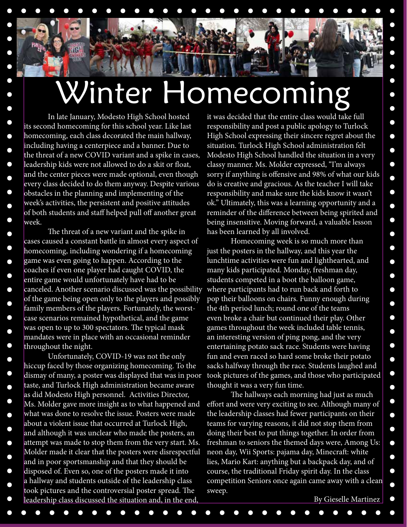### Winter Homecoming

In late January, Modesto High School hosted its second homecoming for this school year. Like last homecoming, each class decorated the main hallway, including having a centerpiece and a banner. Due to the threat of a new COVID variant and a spike in cases, leadership kids were not allowed to do a skit or float, and the center pieces were made optional, even though every class decided to do them anyway. Despite various obstacles in the planning and implementing of the week's activities, the persistent and positive attitudes of both students and staff helped pull off another great week.

The threat of a new variant and the spike in cases caused a constant battle in almost every aspect of homecoming, including wondering if a homecoming game was even going to happen. According to the coaches if even one player had caught COVID, the entire game would unfortunately have had to be canceled. Another scenario discussed was the possibility of the game being open only to the players and possibly family members of the players. Fortunately, the worstcase scenarios remained hypothetical, and the game was open to up to 300 spectators. The typical mask mandates were in place with an occasional reminder throughout the night.

Unfortunately, COVID-19 was not the only hiccup faced by those organizing homecoming. To the dismay of many, a poster was displayed that was in poor taste, and Turlock High administration became aware as did Modesto High personnel. Activities Director, Ms. Molder gave more insight as to what happened and what was done to resolve the issue. Posters were made about a violent issue that occurred at Turlock High, and although it was unclear who made the posters, an attempt was made to stop them from the very start. Ms. Molder made it clear that the posters were disrespectful and in poor sportsmanship and that they should be disposed of. Even so, one of the posters made it into a hallway and students outside of the leadership class took pictures and the controversial poster spread. The leadership class discussed the situation and, in the end,

 $\Box$ 

 $\bullet$ 

 $\bullet$ 

 $\bullet$ 

 $\bullet$ 

it was decided that the entire class would take full responsibility and post a public apology to Turlock High School expressing their sincere regret about the situation. Turlock High School administration felt Modesto High School handled the situation in a very classy manner. Ms. Molder expressed, "I'm always sorry if anything is offensive and 98% of what our kids do is creative and gracious. As the teacher I will take responsibility and make sure the kids know it wasn't ok." Ultimately, this was a learning opportunity and a reminder of the difference between being spirited and being insensitive. Moving forward, a valuable lesson has been learned by all involved.

 $\bullet$ 

 $\bullet$ 

 $\bullet$ 

 $\bullet$ 

 $\bullet$ 

 $\bullet$ 

 $\bullet$ 

 $\bullet$ 

 $\bullet$ 

∩

 $\bullet$ 

∩

 $\bullet$ 

 $\bullet$ 

 $\bullet$ 

 $\bullet$ 

 $\bullet$ 

 $\bullet$ 

 $\bullet$ 

 $\bullet$ 

 $\bullet$ 

 $\bullet$  $\bullet$ 

 $\bullet$ 

Homecoming week is so much more than just the posters in the hallway, and this year the lunchtime activities were fun and lighthearted, and many kids participated. Monday, freshman day, students competed in a boot the balloon game, where participants had to run back and forth to pop their balloons on chairs. Funny enough during the 4th period lunch; round one of the teams even broke a chair but continued their play. Other games throughout the week included table tennis, an interesting version of ping pong, and the very entertaining potato sack race. Students were having fun and even raced so hard some broke their potato sacks halfway through the race. Students laughed and took pictures of the games, and those who participated thought it was a very fun time.

The hallways each morning had just as much effort and were very exciting to see. Although many of the leadership classes had fewer participants on their teams for varying reasons, it did not stop them from doing their best to put things together. In order from freshman to seniors the themed days were, Among Us: neon day, Wii Sports: pajama day, Minecraft: white lies, Mario Kart: anything but a backpack day, and of course, the traditional Friday spirit day. In the class competition Seniors once again came away with a clean sweep.

By Gieselle Martinez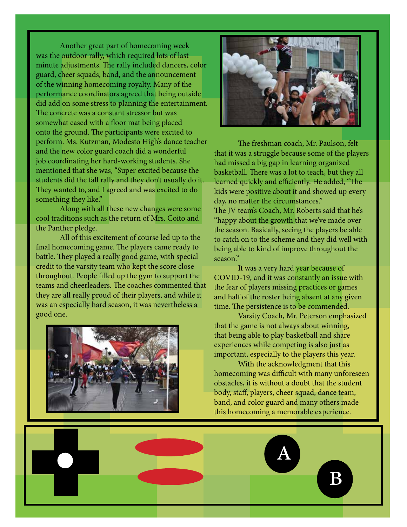Another great part of homecoming week was the outdoor rally, which required lots of last minute adjustments. The rally included dancers, color guard, cheer squads, band, and the announcement of the winning homecoming royalty. Many of the performance coordinators agreed that being outside did add on some stress to planning the entertainment. The concrete was a constant stressor but was somewhat eased with a floor mat being placed onto the ground. The participants were excited to perform. Ms. Kutzman, Modesto High's dance teacher and the new color guard coach did a wonderful job coordinating her hard-working students. She mentioned that she was, "Super excited because the students did the fall rally and they don't usually do it. They wanted to, and I agreed and was excited to do something they like."

Along with all these new changes were some cool traditions such as the return of Mrs. Coito and the Panther pledge.

All of this excitement of course led up to the final homecoming game. The players came ready to battle. They played a really good game, with special credit to the varsity team who kept the score close throughout. People filled up the gym to support the teams and cheerleaders. The coaches commented that they are all really proud of their players, and while it was an especially hard season, it was nevertheless a good one.





The freshman coach, Mr. Paulson, felt that it was a struggle because some of the players had missed a big gap in learning organized basketball. There was a lot to teach, but they all learned quickly and efficiently. He added, "The kids were positive about it and showed up every day, no matter the circumstances." The JV team's Coach, Mr. Roberts said that he's "happy about the growth that we've made over the season. Basically, seeing the players be able to catch on to the scheme and they did well with being able to kind of improve throughout the season."

It was a very hard year because of COVID-19, and it was constantly an issue with the fear of players missing practices or games and half of the roster being absent at any given time. The persistence is to be commended.

Varsity Coach, Mr. Peterson emphasized that the game is not always about winning, that being able to play basketball and share experiences while competing is also just as important, especially to the players this year.

With the acknowledgment that this homecoming was difficult with many unforeseen obstacles, it is without a doubt that the student body, staff, players, cheer squad, dance team, band, and color guard and many others made this homecoming a memorable experience.

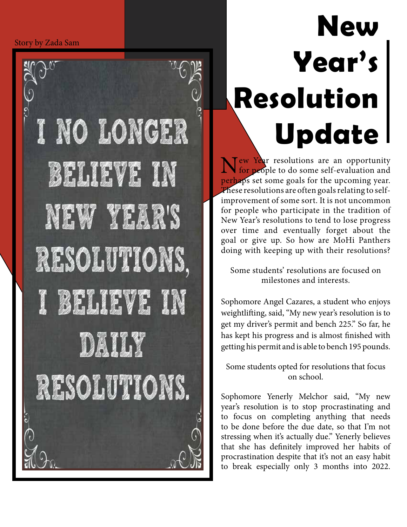```
Story by Zada Sam
```


# **New Year's Resolution Update**

New Year resolutions are an opportunity<br>for people to do some self-evaluation and perhaps set some goals for the upcoming year. These resolutions are often goals relating to selfimprovement of some sort. It is not uncommon for people who participate in the tradition of New Year's resolutions to tend to lose progress over time and eventually forget about the goal or give up. So how are MoHi Panthers doing with keeping up with their resolutions?

Some students' resolutions are focused on milestones and interests.

Sophomore Angel Cazares, a student who enjoys weightlifting, said, "My new year's resolution is to get my driver's permit and bench 225." So far, he has kept his progress and is almost finished with getting his permit and is able to bench 195 pounds.

Some students opted for resolutions that focus on school.

Sophomore Yenerly Melchor said, "My new year's resolution is to stop procrastinating and to focus on completing anything that needs to be done before the due date, so that I'm not stressing when it's actually due." Yenerly believes that she has definitely improved her habits of procrastination despite that it's not an easy habit to break especially only 3 months into 2022.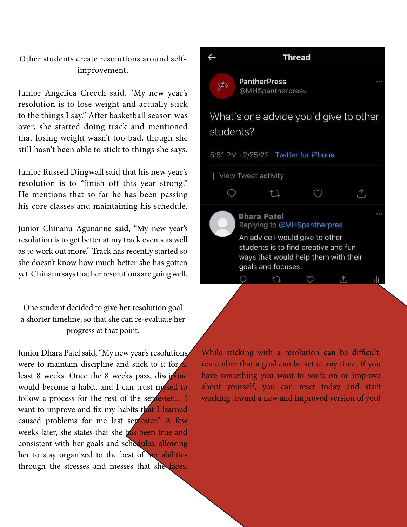#### Other students create resolutions around selfimprovement.

Junior Angelica Creech said, "My new year's resolution is to lose weight and actually stick to the things I say." After basketball season was over, she started doing track and mentioned that losing weight wasn't too bad, though she still hasn't been able to stick to things she says.

Junior Russell Dingwall said that his new year's resolution is to "finish off this year strong." He mentions that so far he has been passing his core classes and maintaining his schedule.

Junior Chinanu Agunanne said, "My new year's resolution is to get better at my track events as well as to work out more." Track has recently started so she doesn't know how much better she has gotten yet. Chinanu says that her resolutions are going well.

One student decided to give her resolution goal a shorter timeline, so that she can re-evaluate her progress at that point.

Junior Dhara Patel said, "My new year's resolutions were to maintain discipline and stick to it for at least 8 weeks. Once the 8 weeks pass, discipline would become a habit, and I can trust myself to follow a process for the rest of the semester... I want to improve and fix my habits that I learned caused problems for me last semester." A few weeks later, she states that she has been true and consistent with her goals and schedules, allowing her to stay organized to the best of her abilities through the stresses and messes that she faces.



While sticking with a resolution can be difficult, remember that a goal can be set at any time. If you have something you want to work on or improve about yourself, you can reset today and start working toward a new and improved version of you!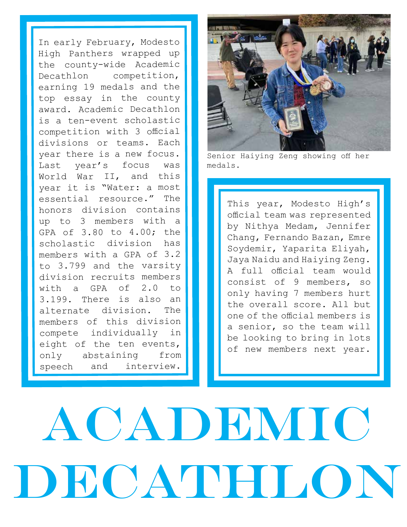In early February, Modesto High Panthers wrapped up the county-wide Academic Decathlon competition, earning 19 medals and the top essay in the county award. Academic Decathlon is a ten-event scholastic competition with 3 official divisions or teams. Each year there is a new focus. Last year's focus was World War II, and this year it is "Water: a most essential resource." The honors division contains up to 3 members with a GPA of 3.80 to 4.00; the scholastic division has members with a GPA of 3.2 to 3.799 and the varsity division recruits members with a GPA of 2.0 to 3.199. There is also an alternate division. The members of this division compete individually in eight of the ten events, only abstaining from speech and interview.



Senior Haiying Zeng showing off her medals.

This year, Modesto High's official team was represented by Nithya Medam, Jennifer Chang, Fernando Bazan, Emre Soydemir, Yaparita Eliyah, Jaya Naidu and Haiying Zeng. A full official team would consist of 9 members, so only having 7 members hurt the overall score. All but one of the official members is a senior, so the team will be looking to bring in lots of new members next year.

# ACADEMIC DECATHLON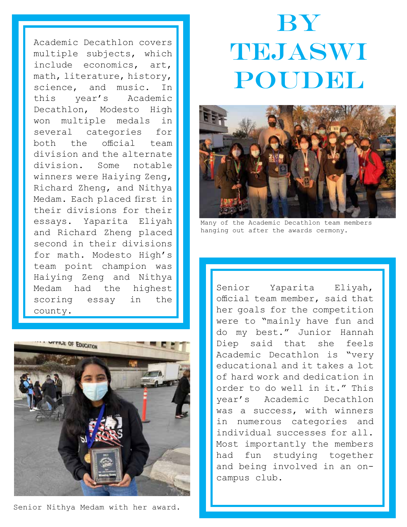Academic Decathlon covers multiple subjects, which include economics, art, math, literature, history, science, and music. In this year's Academic Decathlon, Modesto High won multiple medals in several categories for<br>both the official team both the official team division and the alternate<br>division. Some notable Some notable winners were Haiying Zeng, Richard Zheng, and Nithya Medam. Each placed first in their divisions for their essays. Yaparita Eliyah and Richard Zheng placed second in their divisions for math. Modesto High's team point champion was Haiying Zeng and Nithya Medam had the highest scoring essay in the county.



Senior Nithya Medam with her award.

### **BY TERMIASWI** POUDEL



Many of the Academic Decathlon team members hanging out after the awards cermony.

Senior Yaparita Eliyah, official team member, said that her goals for the competition were to "mainly have fun and do my best." Junior Hannah Diep said that she feels Academic Decathlon is "very educational and it takes a lot of hard work and dedication in order to do well in it." This year's Academic Decathlon was a success, with winners in numerous categories and individual successes for all. Most importantly the members had fun studying together and being involved in an oncampus club.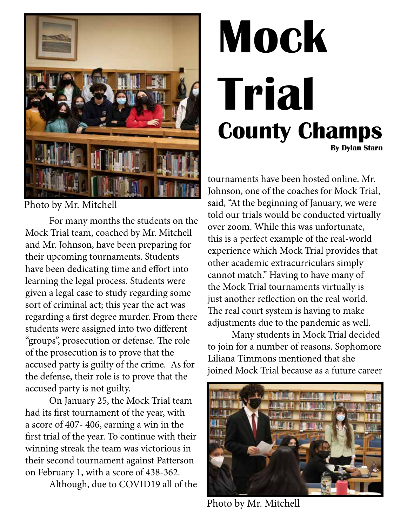

Photo by Mr. Mitchell

For many months the students on the Mock Trial team, coached by Mr. Mitchell and Mr. Johnson, have been preparing for their upcoming tournaments. Students have been dedicating time and effort into learning the legal process. Students were given a legal case to study regarding some sort of criminal act; this year the act was regarding a first degree murder. From there students were assigned into two different "groups", prosecution or defense. The role of the prosecution is to prove that the accused party is guilty of the crime. As for the defense, their role is to prove that the accused party is not guilty.

On January 25, the Mock Trial team had its first tournament of the year, with a score of 407- 406, earning a win in the first trial of the year. To continue with their winning streak the team was victorious in their second tournament against Patterson on February 1, with a score of 438-362.

Although, due to COVID19 all of the

## **Mock Trial County Champs By Dylan Starn**

tournaments have been hosted online. Mr. Johnson, one of the coaches for Mock Trial, said, "At the beginning of January, we were told our trials would be conducted virtually over zoom. While this was unfortunate, this is a perfect example of the real-world experience which Mock Trial provides that other academic extracurriculars simply cannot match." Having to have many of the Mock Trial tournaments virtually is just another reflection on the real world. The real court system is having to make adjustments due to the pandemic as well.

Many students in Mock Trial decided to join for a number of reasons. Sophomore Liliana Timmons mentioned that she joined Mock Trial because as a future career



Photo by Mr. Mitchell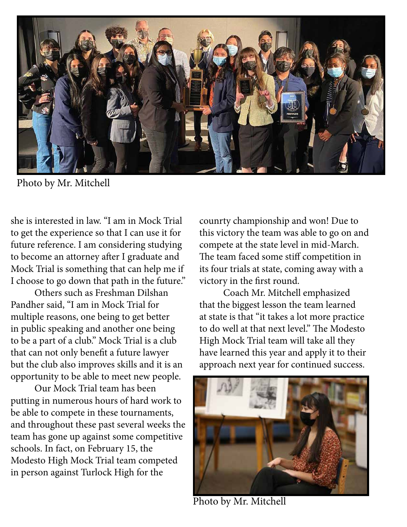

Photo by Mr. Mitchell

she is interested in law. "I am in Mock Trial to get the experience so that I can use it for future reference. I am considering studying to become an attorney after I graduate and Mock Trial is something that can help me if I choose to go down that path in the future."

Others such as Freshman Dilshan Pandher said, "I am in Mock Trial for multiple reasons, one being to get better in public speaking and another one being to be a part of a club." Mock Trial is a club that can not only benefit a future lawyer but the club also improves skills and it is an opportunity to be able to meet new people.

Our Mock Trial team has been putting in numerous hours of hard work to be able to compete in these tournaments, and throughout these past several weeks the team has gone up against some competitive schools. In fact, on February 15, the Modesto High Mock Trial team competed in person against Turlock High for the

counrty championship and won! Due to this victory the team was able to go on and compete at the state level in mid-March. The team faced some stiff competition in its four trials at state, coming away with a victory in the first round.

Coach Mr. Mitchell emphasized that the biggest lesson the team learned at state is that "it takes a lot more practice to do well at that next level." The Modesto High Mock Trial team will take all they have learned this year and apply it to their approach next year for continued success.



Photo by Mr. Mitchell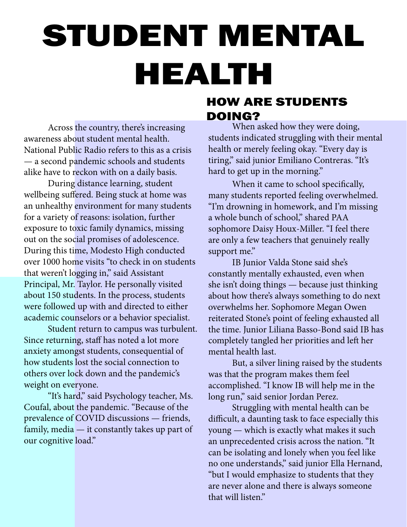# STUDENT MENTAL HEALTH

Across the country, there's increasing awareness about student mental health. National Public Radio refers to this as a crisis — a second pandemic schools and students alike have to reckon with on a daily basis.

During distance learning, student wellbeing suffered. Being stuck at home was an unhealthy environment for many students for a variety of reasons: isolation, further exposure to toxic family dynamics, missing out on the social promises of adolescence. During this time, Modesto High conducted over 1000 home visits "to check in on students that weren't logging in," said Assistant Principal, Mr. Taylor. He personally visited about 150 students. In the process, students were followed up with and directed to either academic counselors or a behavior specialist.

Student return to campus was turbulent. Since returning, staff has noted a lot more anxiety amongst students, consequential of how students lost the social connection to others over lock down and the pandemic's weight on everyone.

"It's hard," said Psychology teacher, Ms. Coufal, about the pandemic. "Because of the prevalence of COVID discussions — friends, family, media — it constantly takes up part of our cognitive load."

#### HOW ARE STUDENTS DOING?

When asked how they were doing, students indicated struggling with their mental health or merely feeling okay. "Every day is tiring," said junior Emiliano Contreras. "It's hard to get up in the morning."

When it came to school specifically, many students reported feeling overwhelmed. "I'm drowning in homework, and I'm missing a whole bunch of school," shared PAA sophomore Daisy Houx-Miller. "I feel there are only a few teachers that genuinely really support me."

IB Junior Valda Stone said she's constantly mentally exhausted, even when she isn't doing things — because just thinking about how there's always something to do next overwhelms her. Sophomore Megan Owen reiterated Stone's point of feeling exhausted all the time. Junior Liliana Basso-Bond said IB has completely tangled her priorities and left her mental health last.

But, a silver lining raised by the students was that the program makes them feel accomplished. "I know IB will help me in the long run," said senior Jordan Perez.

Struggling with mental health can be difficult, a daunting task to face especially this young — which is exactly what makes it such an unprecedented crisis across the nation. "It can be isolating and lonely when you feel like no one understands," said junior Ella Hernand, "but I would emphasize to students that they are never alone and there is always someone that will listen."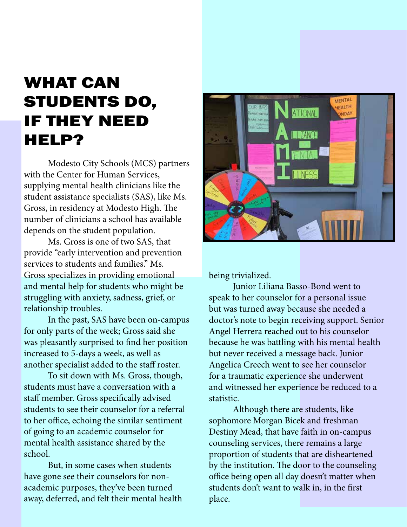#### WHAT CAN STUDENTS DO, IF THEY NEED HELP?

Modesto City Schools (MCS) partners with the Center for Human Services, supplying mental health clinicians like the student assistance specialists (SAS), like Ms. Gross, in residency at Modesto High. The number of clinicians a school has available depends on the student population.

Ms. Gross is one of two SAS, that provide "early intervention and prevention services to students and families." Ms. Gross specializes in providing emotional and mental help for students who might be struggling with anxiety, sadness, grief, or relationship troubles.

In the past, SAS have been on-campus for only parts of the week; Gross said she was pleasantly surprised to find her position increased to 5-days a week, as well as another specialist added to the staff roster.

To sit down with Ms. Gross, though, students must have a conversation with a staff member. Gross specifically advised students to see their counselor for a referral to her office, echoing the similar sentiment of going to an academic counselor for mental health assistance shared by the school.

But, in some cases when students have gone see their counselors for nonacademic purposes, they've been turned away, deferred, and felt their mental health



being trivialized.

Junior Liliana Basso-Bond went to speak to her counselor for a personal issue but was turned away because she needed a doctor's note to begin receiving support. Senior Angel Herrera reached out to his counselor because he was battling with his mental health but never received a message back. Junior Angelica Creech went to see her counselor for a traumatic experience she underwent and witnessed her experience be reduced to a statistic.

Although there are students, like sophomore Morgan Bicek and freshman Destiny Mead, that have faith in on-campus counseling services, there remains a large proportion of students that are disheartened by the institution. The door to the counseling office being open all day doesn't matter when students don't want to walk in, in the first place.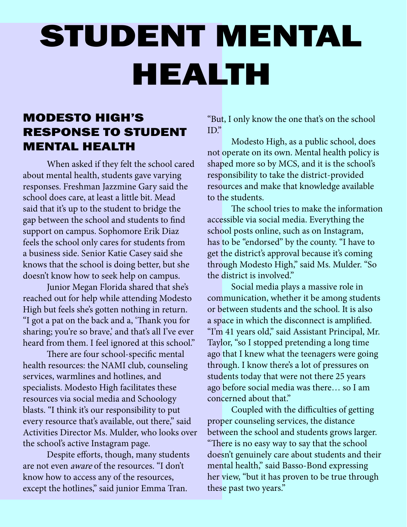## STUDENT MENTAL HEALTH

#### MODESTO HIGH'S RESPONSE TO STUDENT MENTAL HEALTH

When asked if they felt the school cared about mental health, students gave varying responses. Freshman Jazzmine Gary said the school does care, at least a little bit. Mead said that it's up to the student to bridge the gap between the school and students to find support on campus. Sophomore Erik Diaz feels the school only cares for students from a business side. Senior Katie Casey said she knows that the school is doing better, but she doesn't know how to seek help on campus.

Junior Megan Florida shared that she's reached out for help while attending Modesto High but feels she's gotten nothing in return. "I got a pat on the back and a, 'Thank you for sharing; you're so brave,' and that's all I've ever heard from them. I feel ignored at this school."

There are four school-specific mental health resources: the NAMI club, counseling services, warmlines and hotlines, and specialists. Modesto High facilitates these resources via social media and Schoology blasts. "I think it's our responsibility to put every resource that's available, out there," said Activities Director Ms. Mulder, who looks over the school's active Instagram page.

Despite efforts, though, many students are not even aware of the resources. "I don't know how to access any of the resources, except the hotlines," said junior Emma Tran.

"But, I only know the one that's on the school  $ID"$ 

Modesto High, as a public school, does not operate on its own. Mental health policy is shaped more so by MCS, and it is the school's responsibility to take the district-provided resources and make that knowledge available to the students.

The school tries to make the information accessible via social media. Everything the school posts online, such as on Instagram, has to be "endorsed" by the county. "I have to get the district's approval because it's coming through Modesto High," said Ms. Mulder. "So the district is involved."

Social media plays a massive role in communication, whether it be among students or between students and the school. It is also a space in which the disconnect is amplified. "I'm 41 years old," said Assistant Principal, Mr. Taylor, "so I stopped pretending a long time ago that I knew what the teenagers were going through. I know there's a lot of pressures on students today that were not there 25 years ago before social media was there… so I am concerned about that."

Coupled with the difficulties of getting proper counseling services, the distance between the school and students grows larger. "There is no easy way to say that the school doesn't genuinely care about students and their mental health," said Basso-Bond expressing her view, "but it has proven to be true through these past two years."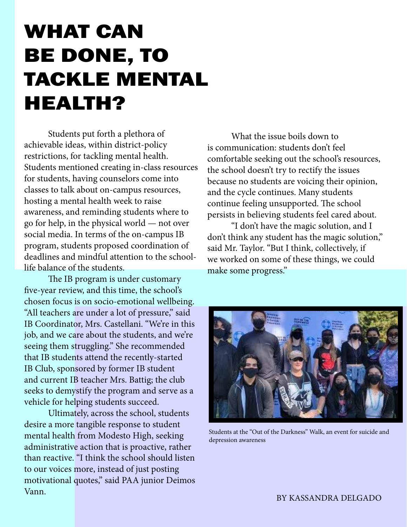### WHAT CAN BE DONE, TO TACKLE MENTAL HEALTH?

Students put forth a plethora of achievable ideas, within district-policy restrictions, for tackling mental health. Students mentioned creating in-class resources for students, having counselors come into classes to talk about on-campus resources, hosting a mental health week to raise awareness, and reminding students where to go for help, in the physical world — not over social media. In terms of the on-campus IB program, students proposed coordination of deadlines and mindful attention to the schoollife balance of the students.

The IB program is under customary five-year review, and this time, the school's chosen focus is on socio-emotional wellbeing. "All teachers are under a lot of pressure," said IB Coordinator, Mrs. Castellani. "We're in this job, and we care about the students, and we're seeing them struggling." She recommended that IB students attend the recently-started IB Club, sponsored by former IB student and current IB teacher Mrs. Battig; the club seeks to demystify the program and serve as a vehicle for helping students succeed.

Ultimately, across the school, students desire a more tangible response to student mental health from Modesto High, seeking administrative action that is proactive, rather than reactive. "I think the school should listen to our voices more, instead of just posting motivational quotes," said PAA junior Deimos Vann.

What the issue boils down to is communication: students don't feel comfortable seeking out the school's resources, the school doesn't try to rectify the issues because no students are voicing their opinion, and the cycle continues. Many students continue feeling unsupported. The school persists in believing students feel cared about.

"I don't have the magic solution, and I don't think any student has the magic solution," said Mr. Taylor. "But I think, collectively, if we worked on some of these things, we could make some progress."



Students at the "Out of the Darkness" Walk, an event for suicide and depression awareness